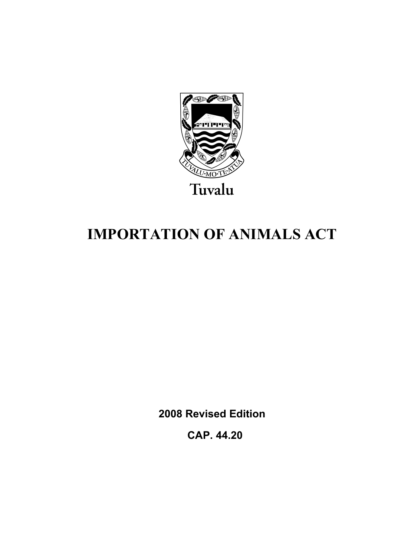

# **IMPORTATION OF ANIMALS ACT**

**2008 Revised Edition** 

 **CAP. 44.20**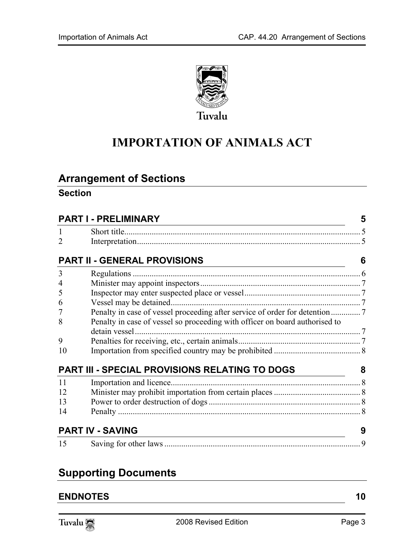

# **IMPORTATION OF ANIMALS ACT**

# **Arrange[ment of Sections](#page-4-1)**

#### **Section**

|                             | <b>PART I - PRELIMINARY</b>                                                           | 5 |
|-----------------------------|---------------------------------------------------------------------------------------|---|
| $\mathbf{1}$                |                                                                                       |   |
| $\mathcal{D}_{\mathcal{L}}$ |                                                                                       |   |
|                             | <b>PART II - GENERAL PROVISIONS</b>                                                   | 6 |
| 3                           |                                                                                       |   |
| $\overline{4}$              |                                                                                       |   |
| 5                           |                                                                                       |   |
| 6                           |                                                                                       |   |
| 7                           | Penalty in case of vessel proceeding after service of order for detention 7           |   |
| 8                           | Penalty in case of vessel so proceeding with officer on board authorised to           |   |
| 9                           |                                                                                       |   |
| 10                          |                                                                                       |   |
|                             | <b>PART III - SPECIAL PROVISIONS RELATING TO DOGS</b>                                 | 8 |
| 11                          |                                                                                       |   |
| 12                          |                                                                                       |   |
| 13                          |                                                                                       |   |
| 14                          |                                                                                       |   |
|                             | <b>PART IV - SAVING</b><br><u> 1989 - Johann Barn, amerikansk politiker (d. 1989)</u> | 9 |
| 15                          |                                                                                       | 9 |
|                             |                                                                                       |   |

# **Supporting Documents**

| <b>ENDNOTES</b> |  |
|-----------------|--|
|-----------------|--|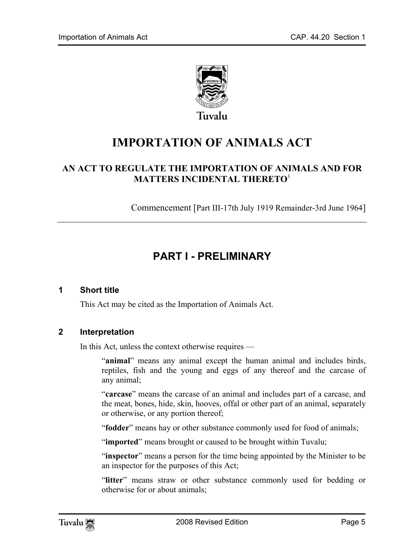

**IMPORTATION OF ANIMALS ACT** 

#### **AN ACT TO REGULATE THE IMPORTATION OF ANIMALS AND FOR MATTERS INCIDENTAL THERETO**<sup>1</sup>

<span id="page-4-1"></span>Commencement [Part III-17th July 1919 Remainder-3rd June 1964]

# <span id="page-4-0"></span>**PART I - PRELIMINARY**

#### **1 Short title**

This Act may be cited as the Importation of Animals Act.

#### **2 Interpretation**

In this Act, unless the context otherwise requires —

"**animal**" means any animal except the human animal and includes birds, reptiles, fish and the young and eggs of any thereof and the carcase of any animal;

"**carcase**" means the carcase of an animal and includes part of a carcase, and the meat, bones, hide, skin, hooves, offal or other part of an animal, separately or otherwise, or any portion thereof;

"**fodder**" means hay or other substance commonly used for food of animals;

"**imported**" means brought or caused to be brought within Tuvalu;

"**inspector**" means a person for the time being appointed by the Minister to be an inspector for the purposes of this Act;

"**litter**" means straw or other substance commonly used for bedding or otherwise for or about animals;

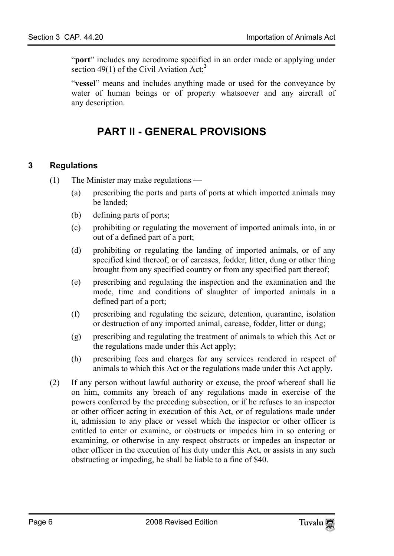"**port**" includes any aerodrome specified in an order made or applying under section 49(1) of the Civil Aviation Act;**<sup>2</sup>**

"**vessel**" means and includes anything made or used for the conveyance by water of human beings or of property whatsoever and any aircraft of any description.

## <span id="page-5-1"></span><span id="page-5-0"></span>**PART II - GENERAL PROVISIONS**

#### **3 Regulations**

- (1) The Minister may make regulations
	- (a) prescribing the ports and parts of ports at which imported animals may be landed;
	- (b) defining parts of ports;
	- (c) prohibiting or regulating the movement of imported animals into, in or out of a defined part of a port;
	- (d) prohibiting or regulating the landing of imported animals, or of any specified kind thereof, or of carcases, fodder, litter, dung or other thing brought from any specified country or from any specified part thereof;
	- (e) prescribing and regulating the inspection and the examination and the mode, time and conditions of slaughter of imported animals in a defined part of a port;
	- (f) prescribing and regulating the seizure, detention, quarantine, isolation or destruction of any imported animal, carcase, fodder, litter or dung;
	- (g) prescribing and regulating the treatment of animals to which this Act or the regulations made under this Act apply;
	- (h) prescribing fees and charges for any services rendered in respect of animals to which this Act or the regulations made under this Act apply.
- (2) If any person without lawful authority or excuse, the proof whereof shall lie on him, commits any breach of any regulations made in exercise of the powers conferred by the preceding subsection, or if he refuses to an inspector or other officer acting in execution of this Act, or of regulations made under it, admission to any place or vessel which the inspector or other officer is entitled to enter or examine, or obstructs or impedes him in so entering or examining, or otherwise in any respect obstructs or impedes an inspector or other officer in the execution of his duty under this Act, or assists in any such obstructing or impeding, he shall be liable to a fine of \$40.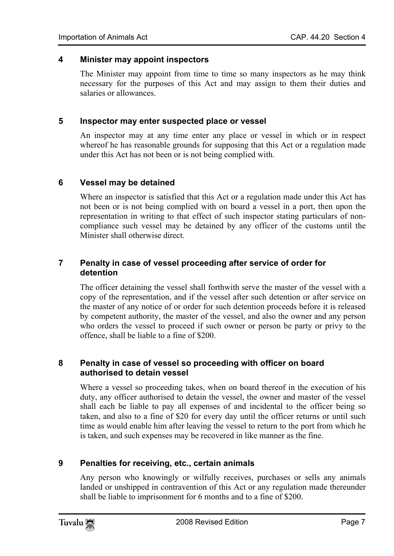#### <span id="page-6-0"></span>**4 Minister may appoint inspectors**

<span id="page-6-1"></span>The Minister may appoint from time to time so many inspectors as he may think necessary for the purposes of this Act and may assign to them their duties and salaries or allowances.

#### **5 Inspector may enter suspected place or vessel**

<span id="page-6-2"></span>An inspector may at any time enter any place or vessel in which or in respect whereof he has reasonable grounds for supposing that this Act or a regulation made under this Act has not been or is not being complied with.

#### **6 Vessel may be detained**

<span id="page-6-3"></span>Where an inspector is satisfied that this Act or a regulation made under this Act has not been or is not being complied with on board a vessel in a port, then upon the representation in writing to that effect of such inspector stating particulars of noncompliance such vessel may be detained by any officer of the customs until the Minister shall otherwise direct.

#### **7 Penalty in case of vessel proceeding after service of order for detention**

<span id="page-6-4"></span>The officer detaining the vessel shall forthwith serve the master of the vessel with a copy of the representation, and if the vessel after such detention or after service on the master of any notice of or order for such detention proceeds before it is released by competent authority, the master of the vessel, and also the owner and any person who orders the vessel to proceed if such owner or person be party or privy to the offence, shall be liable to a fine of \$200.

#### **8 Penalty in case of vessel so proceeding with officer on board authorised to detain vessel**

<span id="page-6-5"></span>Where a vessel so proceeding takes, when on board thereof in the execution of his duty, any officer authorised to detain the vessel, the owner and master of the vessel shall each be liable to pay all expenses of and incidental to the officer being so taken, and also to a fine of \$20 for every day until the officer returns or until such time as would enable him after leaving the vessel to return to the port from which he is taken, and such expenses may be recovered in like manner as the fine.

#### **9 Penalties for receiving, etc., certain animals**

Any person who knowingly or wilfully receives, purchases or sells any animals landed or unshipped in contravention of this Act or any regulation made thereunder shall be liable to imprisonment for 6 months and to a fine of \$200.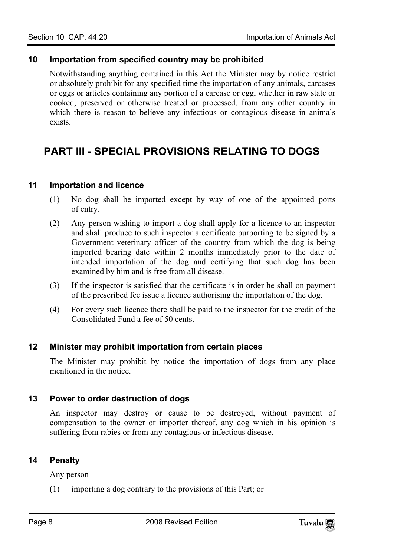#### <span id="page-7-0"></span>**10 Importation from specified country may be prohibited**

<span id="page-7-1"></span>Notwithstanding anything contained in this Act the Minister may by notice restrict or absolutely prohibit for any specified time the importation of any animals, carcases or eggs or articles containing any portion of a carcase or egg, whether in raw state or cooked, preserved or otherwise treated or processed, from any other country in which there is reason to believe any infectious or contagious disease in animals exists.

### <span id="page-7-2"></span>**PART III - SPECIAL PROVISIONS RELATING TO DOGS**

#### **11 Importation and licence**

- (1) No dog shall be imported except by way of one of the appointed ports of entry.
- (2) Any person wishing to import a dog shall apply for a licence to an inspector and shall produce to such inspector a certificate purporting to be signed by a Government veterinary officer of the country from which the dog is being imported bearing date within 2 months immediately prior to the date of intended importation of the dog and certifying that such dog has been examined by him and is free from all disease.
- (3) If the inspector is satisfied that the certificate is in order he shall on payment of the prescribed fee issue a licence authorising the importation of the dog.
- <span id="page-7-3"></span>(4) For every such licence there shall be paid to the inspector for the credit of the Consolidated Fund a fee of 50 cents.

#### **12 Minister may prohibit importation from certain places**

<span id="page-7-4"></span>The Minister may prohibit by notice the importation of dogs from any place mentioned in the notice.

#### **13 Power to order destruction of dogs**

<span id="page-7-5"></span>An inspector may destroy or cause to be destroyed, without payment of compensation to the owner or importer thereof, any dog which in his opinion is suffering from rabies or from any contagious or infectious disease.

#### **14 Penalty**

Any person —

(1) importing a dog contrary to the provisions of this Part; or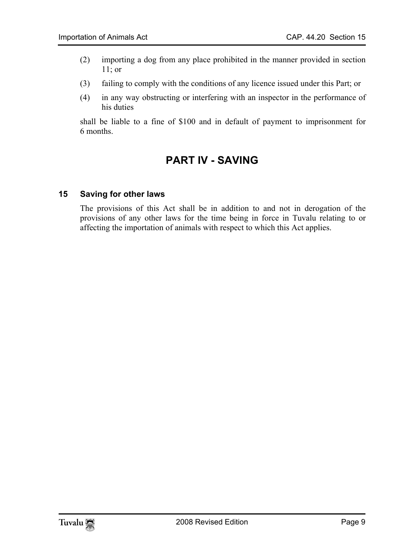- (2) importing a dog from any place prohibited in the manner provided in section 11; or
- (3) failing to comply with the conditions of any licence issued under this Part; or
- (4) in any way obstructing or interfering with an inspector in the performance of his duties

<span id="page-8-1"></span>shall be liable to a fine of \$100 and in default of payment to imprisonment for 6 months.

# <span id="page-8-0"></span>**PART IV - SAVING**

#### **15 Saving for other laws**

The provisions of this Act shall be in addition to and not in derogation of the provisions of any other laws for the time being in force in Tuvalu relating to or affecting the importation of animals with respect to which this Act applies.